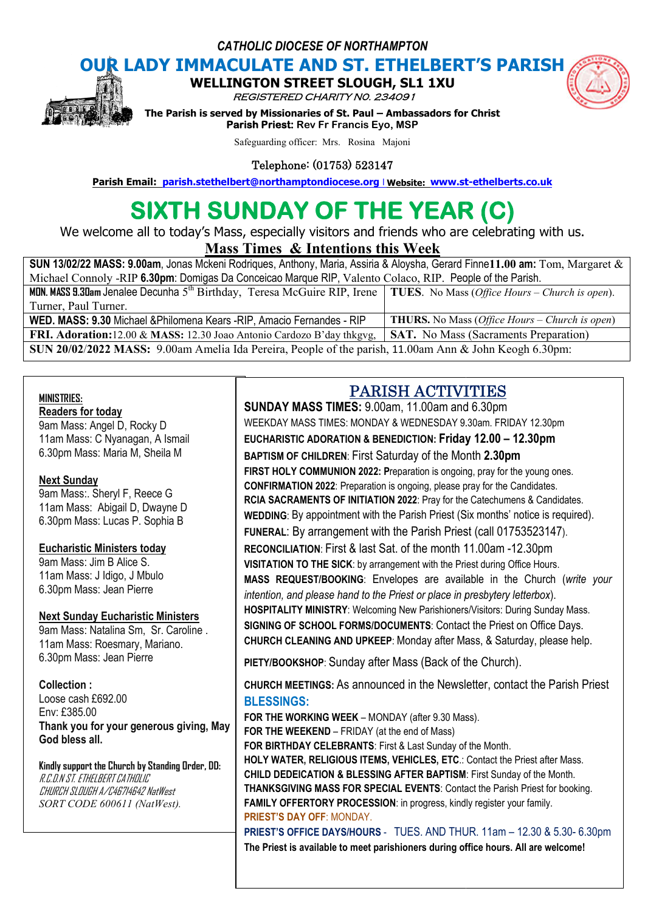*CATHOLIC DIOCESE OF NORTHAMPTON*

**OUR LADY IMMACULATE AND ST. ETHELBERT'S PARISH<br>
WELLINGTON STREET SLOUGH, SL1 1XU WELLINGTON STREET** 

REGISTERED CHARITY N0. 234091



**The Parism INDITION STREET SLOUGH, SL1 1XU<br>***REGISTERED CHARITY NO. 234091***<br>The Parish is served by Missionaries of St. Paul – Ambassadors for Christ Parish Priest: Rev Fr Francis Eyo, MSP Parish Email:** Parish is served by Missionaries of St. Paul – Ambassadors for Christ<br> **Parish Priest:** Rev Fr Francis Eyo, MSP<br>
Safeguarding officer: Mrs. Rosina Majoni<br> **Parish Email:** parish.stethelbert@northamptondioce

Safeguarding officer: Mrs. Rosina Majoni

Telephone: (01753) 523147

# **SIXTH SUNDAY OF THE YEAR (C)**

We welcome all to today's Mass, especially visitors and friends who are celebrating with us.

# **Mass Times Times & Intentions this Week**

| SUN 13/02/22 MASS: 9.00am, Jonas Mckeni Rodrigues, Anthony, Maria, Assiria & Aloysha, Gerard Finne11.00 am: Tom, Margaret &                |                                                                |
|--------------------------------------------------------------------------------------------------------------------------------------------|----------------------------------------------------------------|
| Michael Connoly -RIP 6.30pm: Domigas Da Conceicao Marque RIP, Valento Colaco, RIP. People of the Parish.                                   |                                                                |
| <b>MDN. MASS 9.30am Jenalee Decunha 5<sup>th</sup> Birthday, Teresa McGuire RIP, Irene TUES</b> . No Mass (Office Hours – Church is open). |                                                                |
| Turner, Paul Turner.                                                                                                                       |                                                                |
| WED. MASS: 9.30 Michael & Philomena Kears - RIP, Amacio Fernandes - RIP                                                                    | <b>THURS.</b> No Mass ( <i>Office Hours – Church is open</i> ) |
| FRI. Adoration: 12.00 & MASS: 12.30 Joao Antonio Cardozo B'day thkgvg,                                                                     | <b>SAT.</b> No Mass (Sacraments Preparation)                   |
| SUN 20/02/2022 MASS: 9.00am Amelia Ida Pereira, People of the parish, 11.00am Ann & John Keogh 6.30pm:                                     |                                                                |

### **MINISTRIES:**

# **Readers for today**

9am Mass: Angel D, Rocky D 11am Mass: C Nyanagan, A Ismail 6.30pm Mass: Maria M, Sheila M

### **Next Sunday**

9am Mass:. Sheryl F, Reece G 11am Mass: Abigail D, Dwayne D 6.30pm Mass: Lucas P. Sophia B

#### **Eucharistic Ministers today**

9am Mass: Jim B Alice S. 11am Mass: J Idigo, J Mbulo 6.30pm Mass: Jean Pierre

#### **Next Sunday Eucharistic Ministers**

9am Mass: Natalina Sm, Sr. Caroline . 11am Mass: Roesmary, Mariano. 6.30pm Mass: Jean Pierre

#### **Collection :**

Loose cash £692.00 Env: £385.00 **Thank you for your generous giving, May God bless all.** 

**Kindly support the Church by Standing Order, DD:** R.C.D.N ST. ETHELBERT CATHOLIC CHURCH SLOUGH A/C46714642 NatWest *SORT CODE 600611 (NatWest).*

# PARISH ACTIVITIES ACTIVITIES

**SUNDAY MASS TIMES:** 9.00am, 11.00am and 6.30pm and 6.30pmWEEKDAY MASS TIMES: MONDAY & WEDNESDAY 9.30am. FRIDAY 12.30pm **EUCHARISTIC ADORATION & BENEDICTION: Friday 1 12.00 – 12.30pm BAPTISM OF CHILDREN**: First Saturday of the Month **2.30pm FIRST HOLY COMMUNION 2022: P**reparation is ongoing, pray for the young ones. **CONFIRMATION 2022**: Preparation is ongoing, please pray for the Candidates. **RCIA SACRAMENTS OF INITIATION 2022**: Pray for the Catechumens & Candidates. **CONFIRMATION 2022**: Preparation is ongoing, please pray for the Candidates.<br>RCIA SACRAMENTS OF INITIATION 2022: Pray for the Catechumens & Candidates.<br>WEDDING: By appointment with the Parish Priest (Six months' notice is FUNERAL: By arrangement with the Parish Priest (call 01753523147). **RECONCILIATION**: First & last Sat. of the month 11.00am -12.30pm **VISITATION TO THE SICK**: by arrangement with the Priest during Office Hours. **VISITATION TO THE SICK**: by arrangement with the Priest during Office Hours.<br>MASS REQUEST/BOOKING: Envelopes are available in the Church (*write your intention, and please hand to the Priest or place in presbytery letterbox).* **HOSPITALITY MINISTRY**: Welcoming New Parishioners/Visitors: During Sunday Mass. **SIGNING OF SCHOOL FORMS/DOCUMENTS**: Contact the Priest on Office Days. HOSPITALITY MINISTRY: Welcoming New Parishioners/Visitors: During Sunday Mass.<br>SIGNING OF SCHOOL FORMS/DOCUMENTS: Contact the Priest on Office Days.<br>CHURCH CLEANING AND UPKEEP: Monday after Mass, & Saturday, please help.

**PIETY/BOOKSHOP**: Sunday after Mass (Back of the Church).

**CHURCH MEETINGS:** As announced in the Newsletter, contact the Parish Priest **BLESSINGS:**

**PRIEST'S DAY OFF: MONDAY. FOR THE WORKING WEEK** – MONDAY (after 9.30 Mass). **FOR THE WEEKEND** – FRIDAY (at the end of Mass) **FOR BIRTHDAY CELEBRANTS**: First & Last Sunday of the Month. **HOLY WATER, RELIGIOUS ITEMS, VEHICLES, ETC**.: Contact the Priest after Mass. **CHILD DEDEICATION & BLESSING AFTER BAPTISM: First Sunday of the Month. THANKSGIVING MASS FOR SPECIAL EVENTS**: Contact the Parish Priest for booking. **FAMILY OFFERTORY PROCESSION:** in progress, kindly register your family. **FAMILY OFFERTORY PROCESSION**: in progress, kindly register your family.<br><mark>PRIEST'S DAY OFF: MONDAY.</mark><br>PRIEST'S OFFICE DAYS/HOURS - TUES. AND THUR. 11am – 12.30 & 5.30- 6.30pm after Mass (Back of the Church).<br>nounced in the Newsletter, contact the Parish<br>MONDAY (after 9.30 Mass).<br>Y (at the end of Mass)<br>S: First & Last Sunday of the Month.

**FRIEST'S OFFICE DAYS/HOURS** - TUES. AND THUR. TIAM – TZ.30 & 5.30- 6<br>The Priest is available to meet parishioners during office hours. All are welcome!